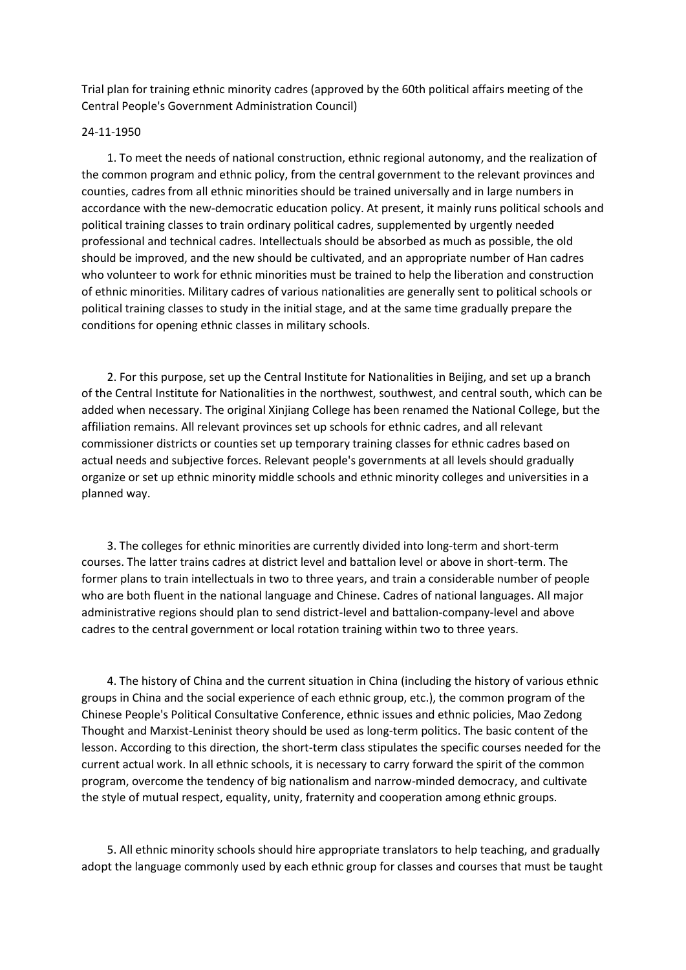Trial plan for training ethnic minority cadres (approved by the 60th political affairs meeting of the Central People's Government Administration Council)

## 24-11-1950

 1. To meet the needs of national construction, ethnic regional autonomy, and the realization of the common program and ethnic policy, from the central government to the relevant provinces and counties, cadres from all ethnic minorities should be trained universally and in large numbers in accordance with the new-democratic education policy. At present, it mainly runs political schools and political training classes to train ordinary political cadres, supplemented by urgently needed professional and technical cadres. Intellectuals should be absorbed as much as possible, the old should be improved, and the new should be cultivated, and an appropriate number of Han cadres who volunteer to work for ethnic minorities must be trained to help the liberation and construction of ethnic minorities. Military cadres of various nationalities are generally sent to political schools or political training classes to study in the initial stage, and at the same time gradually prepare the conditions for opening ethnic classes in military schools.

 2. For this purpose, set up the Central Institute for Nationalities in Beijing, and set up a branch of the Central Institute for Nationalities in the northwest, southwest, and central south, which can be added when necessary. The original Xinjiang College has been renamed the National College, but the affiliation remains. All relevant provinces set up schools for ethnic cadres, and all relevant commissioner districts or counties set up temporary training classes for ethnic cadres based on actual needs and subjective forces. Relevant people's governments at all levels should gradually organize or set up ethnic minority middle schools and ethnic minority colleges and universities in a planned way.

 3. The colleges for ethnic minorities are currently divided into long-term and short-term courses. The latter trains cadres at district level and battalion level or above in short-term. The former plans to train intellectuals in two to three years, and train a considerable number of people who are both fluent in the national language and Chinese. Cadres of national languages. All major administrative regions should plan to send district-level and battalion-company-level and above cadres to the central government or local rotation training within two to three years.

 4. The history of China and the current situation in China (including the history of various ethnic groups in China and the social experience of each ethnic group, etc.), the common program of the Chinese People's Political Consultative Conference, ethnic issues and ethnic policies, Mao Zedong Thought and Marxist-Leninist theory should be used as long-term politics. The basic content of the lesson. According to this direction, the short-term class stipulates the specific courses needed for the current actual work. In all ethnic schools, it is necessary to carry forward the spirit of the common program, overcome the tendency of big nationalism and narrow-minded democracy, and cultivate the style of mutual respect, equality, unity, fraternity and cooperation among ethnic groups.

 5. All ethnic minority schools should hire appropriate translators to help teaching, and gradually adopt the language commonly used by each ethnic group for classes and courses that must be taught